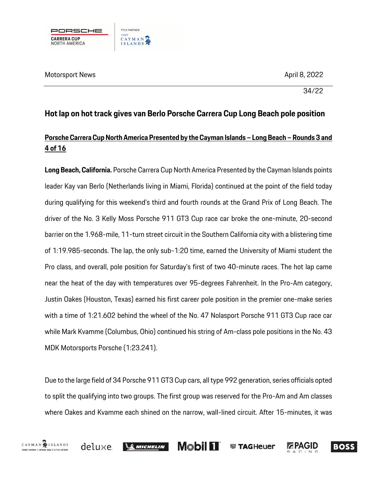

34/22

# **Hot lap on hot track gives van Berlo Porsche Carrera Cup Long Beach pole position**

### **Porsche Carrera CupNorth America Presented by the Cayman Islands – Long Beach – Rounds 3 and 4 of 16**

**Long Beach, California.** Porsche Carrera Cup North America Presented by the Cayman Islands points leader Kay van Berlo (Netherlands living in Miami, Florida) continued at the point of the field today during qualifying for this weekend's third and fourth rounds at the Grand Prix of Long Beach. The driver of the No. 3 Kelly Moss Porsche 911 GT3 Cup race car broke the one-minute, 20-second barrier on the 1.968-mile, 11-turn street circuit in the Southern California city with a blistering time of 1:19.985-seconds. The lap, the only sub-1:20 time, earned the University of Miami student the Pro class, and overall, pole position for Saturday's first of two 40-minute races. The hot lap came near the heat of the day with temperatures over 95-degrees Fahrenheit. In the Pro-Am category, Justin Oakes (Houston, Texas) earned his first career pole position in the premier one-make series with a time of 1:21.602 behind the wheel of the No. 47 Nolasport Porsche 911 GT3 Cup race car while Mark Kvamme (Columbus, Ohio) continued his string of Am-class pole positions in the No. 43 MDK Motorsports Porsche (1:23.241).

Due to the large field of 34 Porsche 911 GT3 Cup cars, all type 992 generation, series officials opted to split the qualifying into two groups. The first group was reserved for the Pro-Am and Am classes where Oakes and Kvamme each shined on the narrow, wall-lined circuit. After 15-minutes, it was

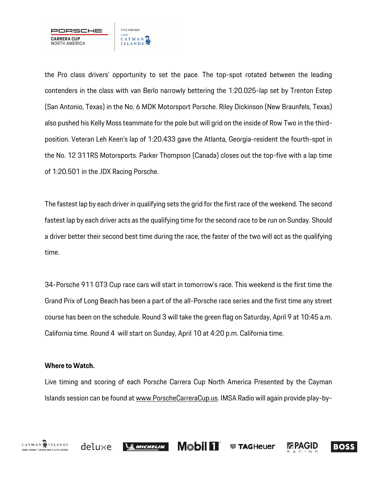

the Pro class drivers' opportunity to set the pace. The top-spot rotated between the leading contenders in the class with van Berlo narrowly bettering the 1:20.025-lap set by Trenton Estep (San Antonio, Texas) in the No. 6 MDK Motorsport Porsche. Riley Dickinson (New Braunfels, Texas) also pushed his Kelly Moss teammate for the pole but will grid on the inside of Row Two in the thirdposition. Veteran Leh Keen's lap of 1:20.433 gave the Atlanta, Georgia-resident the fourth-spot in the No. 12 311RS Motorsports. Parker Thompson (Canada) closes out the top-five with a lap time of 1:20.501 in the JDX Racing Porsche.

The fastest lap by each driver in qualifying sets the grid for the first race of the weekend. The second fastest lap by each driver acts as the qualifying time for the second race to be run on Sunday. Should a driver better their second best time during the race, the faster of the two will act as the qualifying time.

34-Porsche 911 GT3 Cup race cars will start in tomorrow's race. This weekend is the first time the Grand Prix of Long Beach has been a part of the all-Porsche race series and the first time any street course has been on the schedule. Round 3 will take the green flag on Saturday, April 9 at 10:45 a.m. California time. Round 4 will start on Sunday, April 10 at 4:20 p.m. California time.

### **Where to Watch.**

Live timing and scoring of each Porsche Carrera Cup North America Presented by the Cayman Islands session can be found at www.PorscheCarreraCup.us. IMSA Radio will again provide play-by-

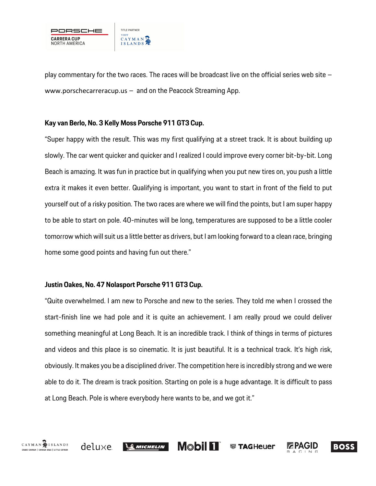

play commentary for the two races. The races will be broadcast live on the official series web site – www.porschecarreracup.us – and on the Peacock Streaming App.

#### **Kay van Berlo, No. 3 Kelly Moss Porsche 911 GT3 Cup.**

"Super happy with the result. This was my first qualifying at a street track. It is about building up slowly. The car went quicker and quicker and I realized I could improve every corner bit-by-bit. Long Beach is amazing. It was fun in practice but in qualifying when you put new tires on, you push a little extra it makes it even better. Qualifying is important, you want to start in front of the field to put yourself out of a risky position. The two races are where we will find the points, but I am super happy to be able to start on pole. 40-minutes will be long, temperatures are supposed to be a little cooler tomorrow which will suit us a little better as drivers, but I am looking forward to a clean race, bringing home some good points and having fun out there."

#### **Justin Oakes, No. 47 Nolasport Porsche 911 GT3 Cup.**

"Quite overwhelmed. I am new to Porsche and new to the series. They told me when I crossed the start-finish line we had pole and it is quite an achievement. I am really proud we could deliver something meaningful at Long Beach. It is an incredible track. I think of things in terms of pictures and videos and this place is so cinematic. It is just beautiful. It is a technical track. It's high risk, obviously. It makes you be a disciplined driver. The competition here is incredibly strong and we were able to do it. The dream is track position. Starting on pole is a huge advantage. It is difficult to pass at Long Beach. Pole is where everybody here wants to be, and we got it."

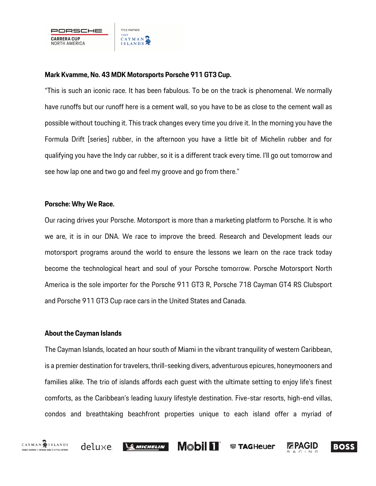#### **Mark Kvamme, No. 43 MDK Motorsports Porsche 911 GT3 Cup.**

"This is such an iconic race. It has been fabulous. To be on the track is phenomenal. We normally have runoffs but our runoff here is a cement wall, so you have to be as close to the cement wall as possible without touching it. This track changes every time you drive it. In the morning you have the Formula Drift [series] rubber, in the afternoon you have a little bit of Michelin rubber and for qualifying you have the Indy car rubber, so it is a different track every time. I'll go out tomorrow and see how lap one and two go and feel my groove and go from there."

#### **Porsche: Why We Race.**

Our racing drives your Porsche. Motorsport is more than a marketing platform to Porsche. It is who we are, it is in our DNA. We race to improve the breed. Research and Development leads our motorsport programs around the world to ensure the lessons we learn on the race track today become the technological heart and soul of your Porsche tomorrow. Porsche Motorsport North America is the sole importer for the Porsche 911 GT3 R, Porsche 718 Cayman GT4 RS Clubsport and Porsche 911 GT3 Cup race cars in the United States and Canada.

#### **About the Cayman Islands**

The Cayman Islands, located an hour south of Miami in the vibrant tranquility of western Caribbean, is a premier destination for travelers, thrill-seeking divers, adventurous epicures, honeymooners and families alike. The trio of islands affords each guest with the ultimate setting to enjoy life's finest comforts, as the Caribbean's leading luxury lifestyle destination. Five-star resorts, high-end villas, condos and breathtaking beachfront properties unique to each island offer a myriad of



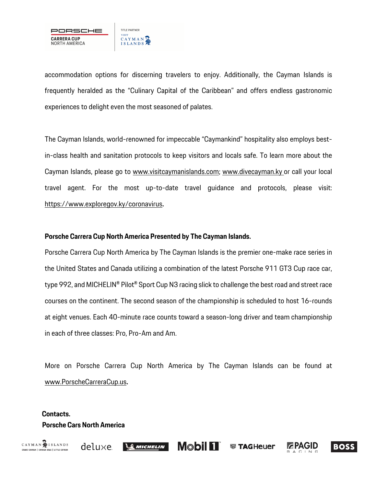

accommodation options for discerning travelers to enjoy. Additionally, the Cayman Islands is frequently heralded as the "Culinary Capital of the Caribbean" and offers endless gastronomic experiences to delight even the most seasoned of palates.

The Cayman Islands, world-renowned for impeccable "Caymankind" hospitality also employs bestin-class health and sanitation protocols to keep visitors and locals safe. To learn more about the Cayman Islands, please go to www.visitcaymanislands.com; www.divecayman.ky or call your local travel agent. For the most up-to-date travel guidance and protocols, please visit: https://www.exploregov.ky/coronavirus**.**

#### **Porsche Carrera Cup North America Presented by The Cayman Islands.**

Porsche Carrera Cup North America by The Cayman Islands is the premier one-make race series in the United States and Canada utilizing a combination of the latest Porsche 911 GT3 Cup race car, type 992, and MICHELIN® Pilot® Sport Cup N3 racing slick to challenge the best road and street race courses on the continent. The second season of the championship is scheduled to host 16-rounds at eight venues. Each 40-minute race counts toward a season-long driver and team championship in each of three classes: Pro, Pro-Am and Am.

More on Porsche Carrera Cup North America by The Cayman Islands can be found at www.PorscheCarreraCup.us**.**

## **Contacts. Porsche Cars North America**